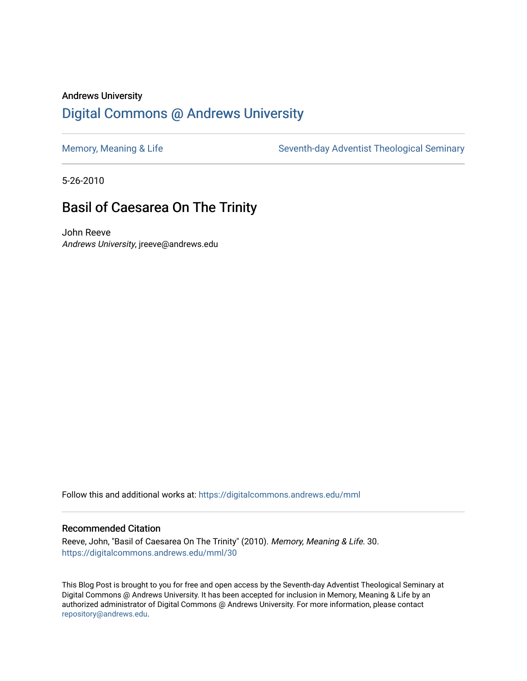## Andrews University [Digital Commons @ Andrews University](https://digitalcommons.andrews.edu/)

[Memory, Meaning & Life](https://digitalcommons.andrews.edu/mml) Seventh-day Adventist Theological Seminary

5-26-2010

## Basil of Caesarea On The Trinity

John Reeve Andrews University, jreeve@andrews.edu

Follow this and additional works at: [https://digitalcommons.andrews.edu/mml](https://digitalcommons.andrews.edu/mml?utm_source=digitalcommons.andrews.edu%2Fmml%2F30&utm_medium=PDF&utm_campaign=PDFCoverPages) 

#### Recommended Citation

Reeve, John, "Basil of Caesarea On The Trinity" (2010). Memory, Meaning & Life. 30. [https://digitalcommons.andrews.edu/mml/30](https://digitalcommons.andrews.edu/mml/30?utm_source=digitalcommons.andrews.edu%2Fmml%2F30&utm_medium=PDF&utm_campaign=PDFCoverPages)

This Blog Post is brought to you for free and open access by the Seventh-day Adventist Theological Seminary at Digital Commons @ Andrews University. It has been accepted for inclusion in Memory, Meaning & Life by an authorized administrator of Digital Commons @ Andrews University. For more information, please contact [repository@andrews.edu](mailto:repository@andrews.edu).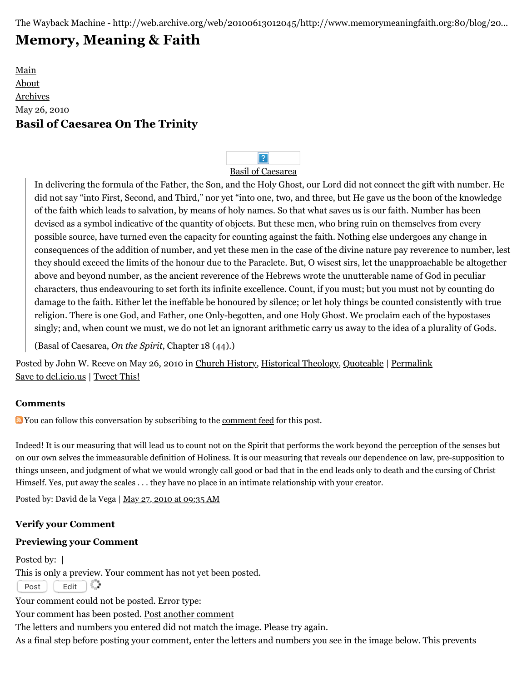The Wayback Machine - http://web.archive.org/web/20100613012045/http://www.memorymeaningfaith.org:80/blog/20…

# **[Memory, Meaning & Faith](http://web.archive.org/web/20100613012045/http://www.memorymeaningfaith.org/blog/)**

[Main](http://web.archive.org/web/20100613012045/http://www.memorymeaningfaith.org/blog) [About](http://web.archive.org/web/20100613012045/http://www.memorymeaningfaith.org/blog/about.html) [Archives](http://web.archive.org/web/20100613012045/http://www.memorymeaningfaith.org/blog/archives.html) May 26, 2010 **Basil of Caesarea On The Trinity**



In delivering the formula of the Father, the Son, and the Holy Ghost, our Lord did not connect the gift with number. He did not say "into First, Second, and Third," nor yet "into one, two, and three, but He gave us the boon of the knowledge of the faith which leads to salvation, by means of holy names. So that what saves us is our faith. Number has been devised as a symbol indicative of the quantity of objects. But these men, who bring ruin on themselves from every possible source, have turned even the capacity for counting against the faith. Nothing else undergoes any change in consequences of the addition of number, and yet these men in the case of the divine nature pay reverence to number, lest they should exceed the limits of the honour due to the Paraclete. But, O wisest sirs, let the unapproachable be altogether above and beyond number, as the ancient reverence of the Hebrews wrote the unutterable name of God in peculiar characters, thus endeavouring to set forth its infinite excellence. Count, if you must; but you must not by counting do damage to the faith. Either let the ineffable be honoured by silence; or let holy things be counted consistently with true religion. There is one God, and Father, one Only-begotten, and one Holy Ghost. We proclaim each of the hypostases singly; and, when count we must, we do not let an ignorant arithmetic carry us away to the idea of a plurality of Gods.

(Basal of Caesarea, *On the Spirit*, Chapter 18 (44).)

Posted by John W. Reeve on May 26, 2010 in [Church History](http://web.archive.org/web/20100613012045/http://www.memorymeaningfaith.org/blog/church-history/), [Historical Theology](http://web.archive.org/web/20100613012045/http://www.memorymeaningfaith.org/blog/theology/), [Quoteable](http://web.archive.org/web/20100613012045/http://www.memorymeaningfaith.org/blog/sources/) | [Permalink](http://web.archive.org/web/20100613012045/http://www.memorymeaningfaith.org/blog/2010/05/basil-trinity.html) [Save to del.icio.us](http://web.archive.org/web/20100613012045/http://del.icio.us/post) | [Tweet This!](http://web.archive.org/web/20100613012045/http://twitter.com/home?status=Basil%20of%20Caesarea%20On%20The%20Trinity%20http%3A%2F%2Fweb.archive.org%2Fweb%2F20100613012045%2Fhttp%3A%2F%2Fbit.ly%2FauzO6p)

### **Comments**

You can follow this conversation by subscribing to the [comment feed](http://web.archive.org/web/20100613012045/http://www.memorymeaningfaith.org/blog/2010/05/basil-trinity/comments/atom.xml) for this post.

Indeed! It is our measuring that will lead us to count not on the Spirit that performs the work beyond the perception of the senses but on our own selves the immeasurable definition of Holiness. It is our measuring that reveals our dependence on law, pre-supposition to things unseen, and judgment of what we would wrongly call good or bad that in the end leads only to death and the cursing of Christ Himself. Yes, put away the scales . . . they have no place in an intimate relationship with your creator.

Posted by: David de la Vega | [May 27, 2010 at 09:35 AM](http://web.archive.org/web/20100613012045/http://www.memorymeaningfaith.org/blog/2010/05/basil-trinity.html?cid=6a01287656f488970c0133eee671cb970b#comment-6a01287656f488970c0133eee671cb970b)

### **Verify your Comment**

### **Previewing your Comment**

Posted by:  $\vert$ This is only a preview. Your comment has not yet been posted.

H.  $Post$  Edit

Your comment could not be posted. Error type:

Your comment has been posted. [Post another comment](javascript:void%200;)

<span id="page-1-0"></span>The letters and numbers you entered did not match the image. Please try again.

As a final step before posting your comment, enter the letters and numbers you see in the image below. This prevents